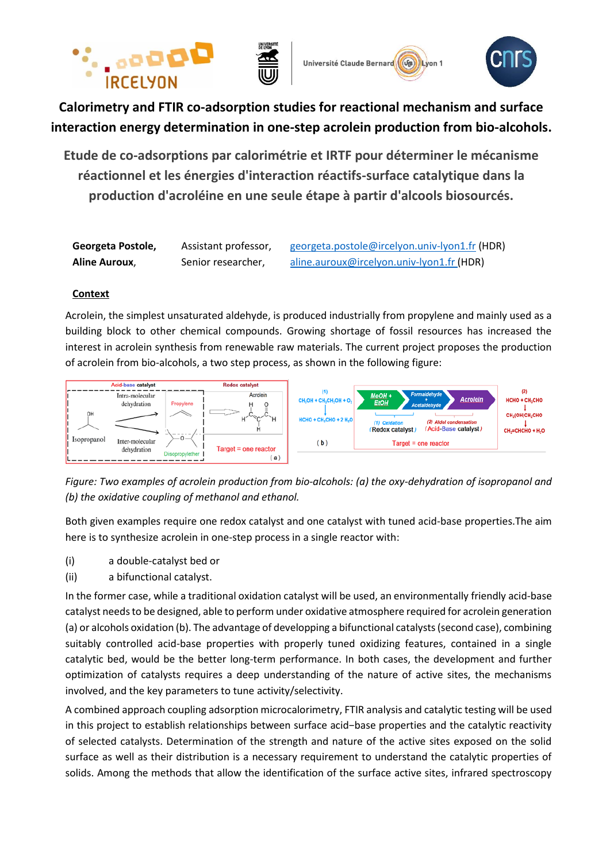





**Calorimetry and FTIR co-adsorption studies for reactional mechanism and surface interaction energy determination in one-step acrolein production from bio-alcohols.**

**Etude de co-adsorptions par calorimétrie et IRTF pour déterminer le mécanisme réactionnel et les énergies d'interaction réactifs-surface catalytique dans la production d'acroléine en une seule étape à partir d'alcools biosourcés.**

| Georgeta Postole,    | Assistant professor, | georgeta.postole@ircelyon.univ-lyon1.fr (HDR) |
|----------------------|----------------------|-----------------------------------------------|
| <b>Aline Auroux,</b> | Senior researcher,   | aline.auroux@ircelyon.univ-lyon1.fr (HDR)     |

## **Context**

Acrolein, the simplest unsaturated aldehyde, is produced industrially from propylene and mainly used as a building block to other chemical compounds. Growing shortage of fossil resources has increased the interest in acrolein synthesis from renewable raw materials. The current project proposes the production of acrolein from bio-alcohols, a two step process, as shown in the following figure:



*Figure: Two examples of acrolein production from bio-alcohols: (a) the oxy-dehydration of isopropanol and (b) the oxidative coupling of methanol and ethanol.* 

Both given examples require one redox catalyst and one catalyst with tuned acid-base properties.The aim here is to synthesize acrolein in one-step process in a single reactor with:

- (i) a double-catalyst bed or
- (ii) a bifunctional catalyst.

In the former case, while a traditional oxidation catalyst will be used, an environmentally friendly acid-base catalyst needs to be designed, able to perform under oxidative atmosphere required for acrolein generation (a) or alcohols oxidation (b). The advantage of developping a bifunctional catalysts (second case), combining suitably controlled acid-base properties with properly tuned oxidizing features, contained in a single catalytic bed, would be the better long-term performance. In both cases, the development and further optimization of catalysts requires a deep understanding of the nature of active sites, the mechanisms involved, and the key parameters to tune activity/selectivity.

A combined approach coupling adsorption microcalorimetry, FTIR analysis and catalytic testing will be used in this project to establish relationships between surface acid−base properties and the catalytic reactivity of selected catalysts. Determination of the strength and nature of the active sites exposed on the solid surface as well as their distribution is a necessary requirement to understand the catalytic properties of solids. Among the methods that allow the identification of the surface active sites, infrared spectroscopy